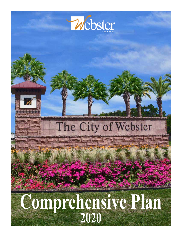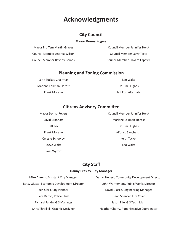### **Acknowledgments**

#### **City Council**

#### **Mayor Donna Rogers**

| Mayor Pro Tem Martin Graves          | Council Member Jennifer Heidt |
|--------------------------------------|-------------------------------|
| Council Member Andrea Wilson         | Council Member Larry Tosto    |
| <b>Council Member Beverly Gaines</b> | Council Member Edward Lapeyre |

#### **Planning and Zoning Commission**

Keith Tucker, Chairman **Exercise Exercise Contracts** Leo Waltz Marlene Eakman-Herbst **Dr. Tim Hughes** Frank Moreno **Matters and Strutter and Strutter Inc.** Jeff Fox, Alternate

#### **Citizens Advisory Committee**

Ross Wycoff

Mayor Donna Rogers **Council Member Jennifer Heidt** Council Member Jennifer Heidt David Branham **Marlene Eakman-Herbst** Marlene Eakman-Herbst Jeff Fox Dr. Tim Hughes Frank Moreno Alfonso Sanchez Jr. Celeste Schooley **Keith Tucker** Keith Tucker Steve Waltz<br>
Leo Waltz

#### **City Staff**

#### **Danny Presley, City Manager**

| Mike Ahrens, Assistant City Manager         | Derhyl Hebert, Community Development Director |
|---------------------------------------------|-----------------------------------------------|
| Betsy Giusto, Economic Development Director | John Warnement, Public Works Director         |
| Ken Clark, City Planner                     | David Glasco, Engineering Manager             |
| Pete Bacon, Police Chief                    | Dean Spencer, Fire Chief                      |
| Richard Parkin, GIS Manager                 | Jason Fife, GIS Technician                    |
| Chris Thrailkill, Graphic Designer          | Heather Cherry, Administrative Coordinator    |